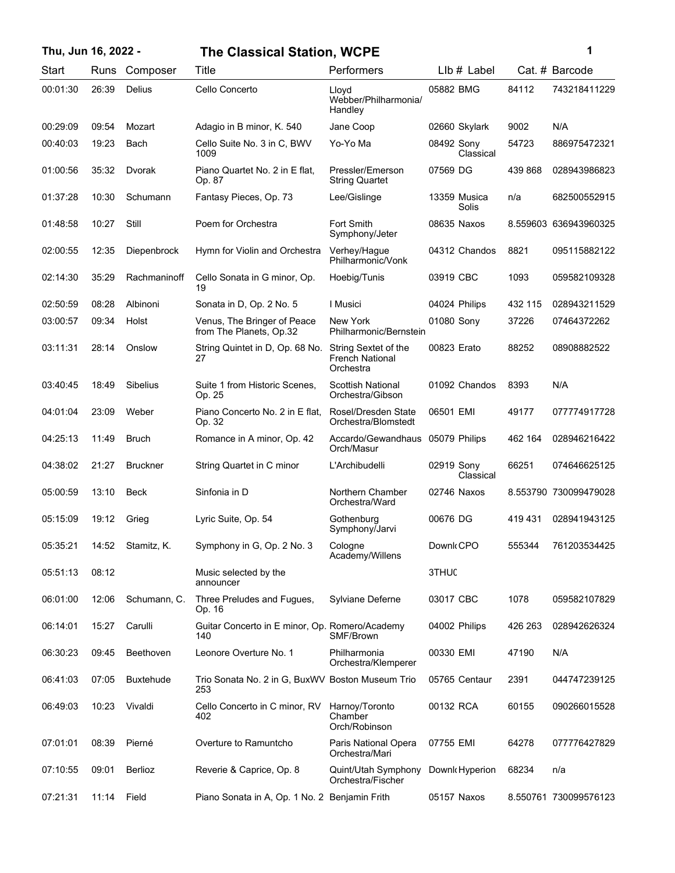| Thu, Jun 16, 2022 - |       |                  | <b>The Classical Station, WCPE</b>                      |                                                             | 1                       |         |                       |
|---------------------|-------|------------------|---------------------------------------------------------|-------------------------------------------------------------|-------------------------|---------|-----------------------|
| Start               | Runs  | Composer         | Title                                                   | Performers                                                  | $Llb#$ Label            |         | Cat. # Barcode        |
| 00:01:30            | 26:39 | Delius           | Cello Concerto                                          | Lloyd<br>Webber/Philharmonia/<br>Handley                    | 05882 BMG               | 84112   | 743218411229          |
| 00:29:09            | 09:54 | Mozart           | Adagio in B minor, K. 540                               | Jane Coop                                                   | 02660 Skylark           | 9002    | N/A                   |
| 00:40:03            | 19:23 | Bach             | Cello Suite No. 3 in C, BWV<br>1009                     | Yo-Yo Ma                                                    | 08492 Sony<br>Classical | 54723   | 886975472321          |
| 01:00:56            | 35:32 | Dvorak           | Piano Quartet No. 2 in E flat,<br>Op. 87                | Pressler/Emerson<br><b>String Quartet</b>                   | 07569 DG                | 439 868 | 028943986823          |
| 01:37:28            | 10:30 | Schumann         | Fantasy Pieces, Op. 73                                  | Lee/Gislinge                                                | 13359 Musica<br>Solis   | n/a     | 682500552915          |
| 01:48:58            | 10:27 | Still            | Poem for Orchestra                                      | <b>Fort Smith</b><br>Symphony/Jeter                         | 08635 Naxos             |         | 8.559603 636943960325 |
| 02:00:55            | 12:35 | Diepenbrock      | Hymn for Violin and Orchestra                           | Verhey/Hague<br>Philharmonic/Vonk                           | 04312 Chandos           | 8821    | 095115882122          |
| 02:14:30            | 35:29 | Rachmaninoff     | Cello Sonata in G minor, Op.<br>19                      | Hoebig/Tunis                                                | 03919 CBC               | 1093    | 059582109328          |
| 02:50:59            | 08:28 | Albinoni         | Sonata in D, Op. 2 No. 5                                | I Musici                                                    | 04024 Philips           | 432 115 | 028943211529          |
| 03:00:57            | 09:34 | Holst            | Venus, The Bringer of Peace<br>from The Planets, Op.32  | New York<br>Philharmonic/Bernstein                          | 01080 Sony              | 37226   | 07464372262           |
| 03:11:31            | 28:14 | Onslow           | String Quintet in D, Op. 68 No.<br>27                   | String Sextet of the<br><b>French National</b><br>Orchestra | 00823 Erato             | 88252   | 08908882522           |
| 03:40:45            | 18:49 | <b>Sibelius</b>  | Suite 1 from Historic Scenes,<br>Op. 25                 | <b>Scottish National</b><br>Orchestra/Gibson                | 01092 Chandos           | 8393    | N/A                   |
| 04:01:04            | 23:09 | Weber            | Piano Concerto No. 2 in E flat,<br>Op. 32               | Rosel/Dresden State<br>Orchestra/Blomstedt                  | 06501 EMI               | 49177   | 077774917728          |
| 04:25:13            | 11:49 | <b>Bruch</b>     | Romance in A minor, Op. 42                              | Accardo/Gewandhaus<br>Orch/Masur                            | 05079 Philips           | 462 164 | 028946216422          |
| 04:38:02            | 21:27 | <b>Bruckner</b>  | String Quartet in C minor                               | L'Archibudelli                                              | 02919 Sony<br>Classical | 66251   | 074646625125          |
| 05:00:59            | 13:10 | <b>Beck</b>      | Sinfonia in D                                           | Northern Chamber<br>Orchestra/Ward                          | 02746 Naxos             |         | 8.553790 730099479028 |
| 05:15:09            | 19:12 | Grieg            | Lyric Suite, Op. 54                                     | Gothenburg<br>Symphony/Jarvi                                | 00676 DG                | 419 431 | 028941943125          |
| 05:35:21            | 14:52 | Stamitz, K.      | Symphony in G, Op. 2 No. 3                              | Cologne<br>Academy/Willens                                  | Downk CPO               | 555344  | 761203534425          |
| 05:51:13            | 08:12 |                  | Music selected by the<br>announcer                      |                                                             | 3THUC                   |         |                       |
| 06:01:00            | 12:06 | Schumann, C.     | Three Preludes and Fugues,<br>Op. 16                    | Sylviane Deferne                                            | 03017 CBC               | 1078    | 059582107829          |
| 06:14:01            | 15:27 | Carulli          | Guitar Concerto in E minor, Op. Romero/Academy<br>140   | SMF/Brown                                                   | 04002 Philips           | 426 263 | 028942626324          |
| 06:30:23            | 09:45 | Beethoven        | Leonore Overture No. 1                                  | Philharmonia<br>Orchestra/Klemperer                         | 00330 EMI               | 47190   | N/A                   |
| 06:41:03            | 07:05 | <b>Buxtehude</b> | Trio Sonata No. 2 in G, BuxWV Boston Museum Trio<br>253 |                                                             | 05765 Centaur           | 2391    | 044747239125          |
| 06:49:03            | 10:23 | Vivaldi          | Cello Concerto in C minor, RV<br>402                    | Harnoy/Toronto<br>Chamber<br>Orch/Robinson                  | 00132 RCA               | 60155   | 090266015528          |
| 07:01:01            | 08:39 | Pierné           | Overture to Ramuntcho                                   | Paris National Opera<br>Orchestra/Mari                      | 07755 EMI               | 64278   | 077776427829          |
| 07:10:55            | 09:01 | Berlioz          | Reverie & Caprice, Op. 8                                | Quint/Utah Symphony<br>Orchestra/Fischer                    | Downk Hyperion          | 68234   | n/a                   |
| 07:21:31            | 11:14 | Field            | Piano Sonata in A, Op. 1 No. 2 Benjamin Frith           |                                                             | 05157 Naxos             |         | 8.550761 730099576123 |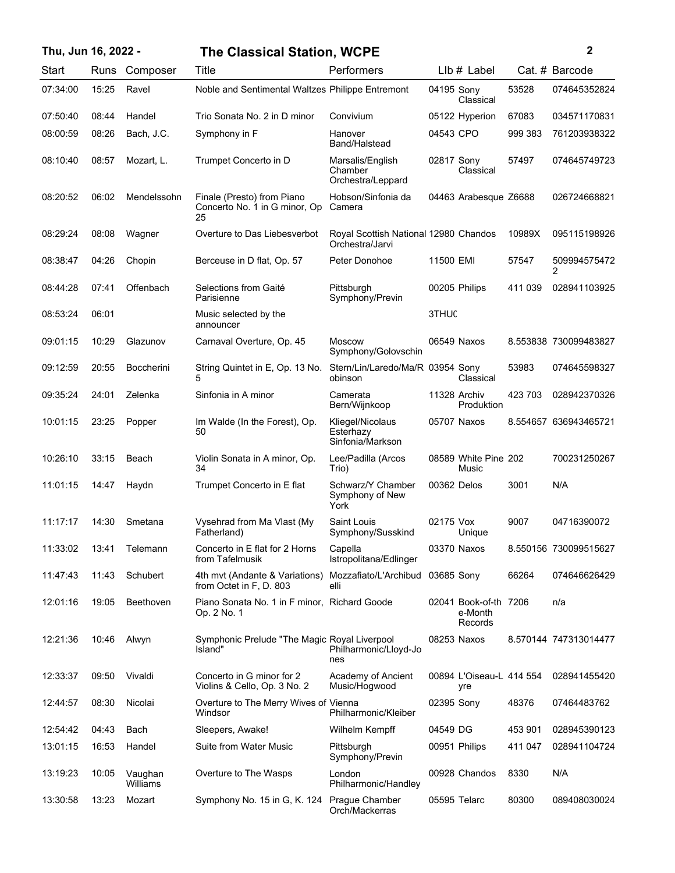## **Thu, Jun 16, 2022 - 2 The Classical Station, WCPE**

| i<br>ł<br>٠ |  |  |
|-------------|--|--|
|             |  |  |
|             |  |  |
|             |  |  |
|             |  |  |

| Start    | Runs  | Composer            | Title                                                             | Performers                                               |             | LIb # Label                                 |         | Cat. # Barcode        |
|----------|-------|---------------------|-------------------------------------------------------------------|----------------------------------------------------------|-------------|---------------------------------------------|---------|-----------------------|
| 07:34:00 | 15:25 | Ravel               | Noble and Sentimental Waltzes Philippe Entremont                  |                                                          | 04195 Sony  | Classical                                   | 53528   | 074645352824          |
| 07:50:40 | 08:44 | Handel              | Trio Sonata No. 2 in D minor                                      | Convivium                                                |             | 05122 Hyperion                              | 67083   | 034571170831          |
| 08:00:59 | 08:26 | Bach, J.C.          | Symphony in F                                                     | Hanover<br>Band/Halstead                                 | 04543 CPO   |                                             | 999 383 | 761203938322          |
| 08:10:40 | 08:57 | Mozart, L.          | Trumpet Concerto in D                                             | Marsalis/English<br>Chamber<br>Orchestra/Leppard         | 02817 Sony  | Classical                                   | 57497   | 074645749723          |
| 08:20:52 | 06:02 | Mendelssohn         | Finale (Presto) from Piano<br>Concerto No. 1 in G minor, Op<br>25 | Hobson/Sinfonia da<br>Camera                             |             | 04463 Arabesque Z6688                       |         | 026724668821          |
| 08:29:24 | 08:08 | Wagner              | Overture to Das Liebesverbot                                      | Royal Scottish National 12980 Chandos<br>Orchestra/Jarvi |             |                                             | 10989X  | 095115198926          |
| 08:38:47 | 04:26 | Chopin              | Berceuse in D flat, Op. 57                                        | Peter Donohoe                                            | 11500 EMI   |                                             | 57547   | 509994575472<br>2     |
| 08:44:28 | 07:41 | Offenbach           | Selections from Gaité<br>Parisienne                               | Pittsburgh<br>Symphony/Previn                            |             | 00205 Philips                               | 411 039 | 028941103925          |
| 08:53:24 | 06:01 |                     | Music selected by the<br>announcer                                |                                                          | 3THUC       |                                             |         |                       |
| 09:01:15 | 10:29 | Glazunov            | Carnaval Overture, Op. 45                                         | <b>Moscow</b><br>Symphony/Golovschin                     |             | 06549 Naxos                                 |         | 8.553838 730099483827 |
| 09:12:59 | 20:55 | <b>Boccherini</b>   | String Quintet in E, Op. 13 No.<br>5                              | Stern/Lin/Laredo/Ma/R 03954 Sony<br>obinson              |             | Classical                                   | 53983   | 074645598327          |
| 09:35:24 | 24:01 | Zelenka             | Sinfonia in A minor                                               | Camerata<br>Bern/Wijnkoop                                |             | 11328 Archiv<br>Produktion                  | 423 703 | 028942370326          |
| 10:01:15 | 23:25 | Popper              | Im Walde (In the Forest), Op.<br>50                               | Kliegel/Nicolaus<br>Esterhazy<br>Sinfonia/Markson        |             | 05707 Naxos                                 |         | 8.554657 636943465721 |
| 10:26:10 | 33:15 | Beach               | Violin Sonata in A minor, Op.<br>34                               | Lee/Padilla (Arcos<br>Trio)                              |             | 08589 White Pine 202<br>Music               |         | 700231250267          |
| 11:01:15 | 14:47 | Haydn               | Trumpet Concerto in E flat                                        | Schwarz/Y Chamber<br>Symphony of New<br>York             | 00362 Delos |                                             | 3001    | N/A                   |
| 11:17:17 | 14:30 | Smetana             | Vysehrad from Ma Vlast (My<br>Fatherland)                         | Saint Louis<br>Symphony/Susskind                         | 02175 Vox   | Unique                                      | 9007    | 04716390072           |
| 11:33:02 | 13:41 | Telemann            | Concerto in E flat for 2 Horns<br>from Tafelmusik                 | Capella<br>Istropolitana/Edlinger                        |             | 03370 Naxos                                 |         | 8.550156 730099515627 |
| 11:47:43 | 11:43 | Schubert            | 4th mvt (Andante & Variations)<br>from Octet in F, D. 803         | Mozzafiato/L'Archibud<br>elli                            | 03685 Sony  |                                             | 66264   | 074646626429          |
| 12:01:16 | 19:05 | Beethoven           | Piano Sonata No. 1 in F minor, Richard Goode<br>Op. 2 No. 1       |                                                          |             | 02041 Book-of-th 7206<br>e-Month<br>Records |         | n/a                   |
| 12:21:36 | 10:46 | Alwyn               | Symphonic Prelude "The Magic Royal Liverpool<br>Island"           | Philharmonic/Lloyd-Jo<br>nes                             |             | 08253 Naxos                                 |         | 8.570144 747313014477 |
| 12:33:37 | 09:50 | Vivaldi             | Concerto in G minor for 2<br>Violins & Cello, Op. 3 No. 2         | Academy of Ancient<br>Music/Hogwood                      |             | 00894 L'Oiseau-L 414 554<br>yre             |         | 028941455420          |
| 12:44:57 | 08:30 | Nicolai             | Overture to The Merry Wives of Vienna<br>Windsor                  | Philharmonic/Kleiber                                     | 02395 Sony  |                                             | 48376   | 07464483762           |
| 12:54:42 | 04:43 | Bach                | Sleepers, Awake!                                                  | Wilhelm Kempff                                           | 04549 DG    |                                             | 453 901 | 028945390123          |
| 13:01:15 | 16:53 | Handel              | Suite from Water Music                                            | Pittsburgh<br>Symphony/Previn                            |             | 00951 Philips                               | 411 047 | 028941104724          |
| 13:19:23 | 10:05 | Vaughan<br>Williams | Overture to The Wasps                                             | London<br>Philharmonic/Handley                           |             | 00928 Chandos                               | 8330    | N/A                   |
| 13:30:58 | 13:23 | Mozart              | Symphony No. 15 in G, K. 124                                      | Prague Chamber<br>Orch/Mackerras                         |             | 05595 Telarc                                | 80300   | 089408030024          |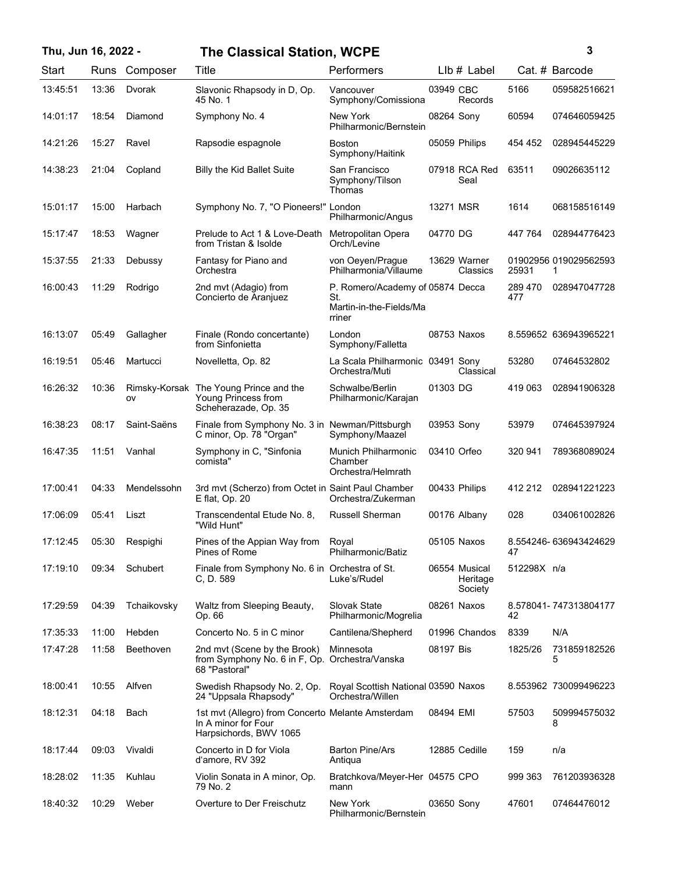## **Thu, Jun 16, 2022 - 3 The Classical Station, WCPE**

| Start    | Runs  | Composer            | Title                                                                                              | Performers                                                                   |             | $Llb#$ Label                         |                | Cat. # Barcode             |
|----------|-------|---------------------|----------------------------------------------------------------------------------------------------|------------------------------------------------------------------------------|-------------|--------------------------------------|----------------|----------------------------|
| 13:45:51 | 13:36 | Dvorak              | Slavonic Rhapsody in D, Op.<br>45 No. 1                                                            | Vancouver<br>Symphony/Comissiona                                             | 03949 CBC   | Records                              | 5166           | 059582516621               |
| 14:01:17 | 18:54 | Diamond             | Symphony No. 4                                                                                     | New York<br>Philharmonic/Bernstein                                           | 08264 Sony  |                                      | 60594          | 074646059425               |
| 14:21:26 | 15:27 | Ravel               | Rapsodie espagnole                                                                                 | <b>Boston</b><br>Symphony/Haitink                                            |             | 05059 Philips                        | 454 452        | 028945445229               |
| 14:38:23 | 21:04 | Copland             | <b>Billy the Kid Ballet Suite</b>                                                                  | San Francisco<br>Symphony/Tilson<br>Thomas                                   |             | 07918 RCA Red<br>Seal                | 63511          | 09026635112                |
| 15:01:17 | 15:00 | Harbach             | Symphony No. 7, "O Pioneers!" London                                                               | Philharmonic/Angus                                                           | 13271 MSR   |                                      | 1614           | 068158516149               |
| 15:17:47 | 18:53 | Wagner              | Prelude to Act 1 & Love-Death<br>from Tristan & Isolde                                             | Metropolitan Opera<br>Orch/Levine                                            | 04770 DG    |                                      | 447 764        | 028944776423               |
| 15:37:55 | 21:33 | Debussy             | Fantasy for Piano and<br>Orchestra                                                                 | von Oeyen/Prague<br>Philharmonia/Villaume                                    |             | 13629 Warner<br>Classics             | 25931          | 01902956 019029562593<br>1 |
| 16:00:43 | 11:29 | Rodrigo             | 2nd mvt (Adagio) from<br>Concierto de Aranjuez                                                     | P. Romero/Academy of 05874 Decca<br>St.<br>Martin-in-the-Fields/Ma<br>rriner |             |                                      | 289 470<br>477 | 028947047728               |
| 16:13:07 | 05:49 | Gallagher           | Finale (Rondo concertante)<br>from Sinfonietta                                                     | London<br>Symphony/Falletta                                                  |             | 08753 Naxos                          |                | 8.559652 636943965221      |
| 16:19:51 | 05:46 | Martucci            | Novelletta, Op. 82                                                                                 | La Scala Philharmonic 03491 Sony<br>Orchestra/Muti                           |             | Classical                            | 53280          | 07464532802                |
| 16:26:32 | 10:36 | Rimsky-Korsak<br>ov | The Young Prince and the<br>Young Princess from<br>Scheherazade, Op. 35                            | Schwalbe/Berlin<br>Philharmonic/Karajan                                      | 01303 DG    |                                      | 419 063        | 028941906328               |
| 16:38:23 | 08:17 | Saint-Saëns         | Finale from Symphony No. 3 in Newman/Pittsburgh<br>C minor, Op. 78 "Organ"                         | Symphony/Maazel                                                              | 03953 Sony  |                                      | 53979          | 074645397924               |
| 16:47:35 | 11:51 | Vanhal              | Symphony in C, "Sinfonia<br>comista"                                                               | <b>Munich Philharmonic</b><br>Chamber<br>Orchestra/Helmrath                  | 03410 Orfeo |                                      | 320 941        | 789368089024               |
| 17:00:41 | 04:33 | Mendelssohn         | 3rd mvt (Scherzo) from Octet in Saint Paul Chamber<br>E flat, Op. 20                               | Orchestra/Zukerman                                                           |             | 00433 Philips                        | 412 212        | 028941221223               |
| 17:06:09 | 05:41 | Liszt               | Transcendental Etude No. 8.<br>"Wild Hunt"                                                         | <b>Russell Sherman</b>                                                       |             | 00176 Albany                         | 028            | 034061002826               |
| 17:12:45 | 05:30 | Respighi            | Pines of the Appian Way from<br>Pines of Rome                                                      | Royal<br>Philharmonic/Batiz                                                  |             | 05105 Naxos                          | 47             | 8.554246-636943424629      |
| 17:19:10 | 09:34 | Schubert            | Finale from Symphony No. 6 in Orchestra of St.<br>C, D. 589                                        | Luke's/Rudel                                                                 |             | 06554 Musical<br>Heritage<br>Society | 512298X n/a    |                            |
| 17:29:59 | 04:39 | Tchaikovsky         | Waltz from Sleeping Beauty,<br>Op. 66                                                              | Slovak State<br>Philharmonic/Mogrelia                                        |             | 08261 Naxos                          | 42             | 8.578041-747313804177      |
| 17:35:33 | 11:00 | Hebden              | Concerto No. 5 in C minor                                                                          | Cantilena/Shepherd                                                           |             | 01996 Chandos                        | 8339           | N/A                        |
| 17:47:28 | 11:58 | Beethoven           | 2nd mvt (Scene by the Brook)<br>from Symphony No. 6 in F, Op. Orchestra/Vanska<br>68 "Pastoral"    | Minnesota                                                                    | 08197 Bis   |                                      | 1825/26        | 731859182526<br>5          |
| 18:00:41 | 10:55 | Alfven              | Swedish Rhapsody No. 2, Op.<br>24 "Uppsala Rhapsody"                                               | Royal Scottish National 03590 Naxos<br>Orchestra/Willen                      |             |                                      |                | 8.553962 730099496223      |
| 18:12:31 | 04:18 | Bach                | 1st mvt (Allegro) from Concerto Melante Amsterdam<br>In A minor for Four<br>Harpsichords, BWV 1065 |                                                                              | 08494 EMI   |                                      | 57503          | 509994575032<br>8          |
| 18:17:44 | 09:03 | Vivaldi             | Concerto in D for Viola<br>d'amore, RV 392                                                         | <b>Barton Pine/Ars</b><br>Antiqua                                            |             | 12885 Cedille                        | 159            | n/a                        |
| 18:28:02 | 11:35 | Kuhlau              | Violin Sonata in A minor, Op.<br>79 No. 2                                                          | Bratchkova/Meyer-Her 04575 CPO<br>mann                                       |             |                                      | 999 363        | 761203936328               |
| 18:40:32 | 10:29 | Weber               | Overture to Der Freischutz                                                                         | New York<br>Philharmonic/Bernstein                                           | 03650 Sony  |                                      | 47601          | 07464476012                |